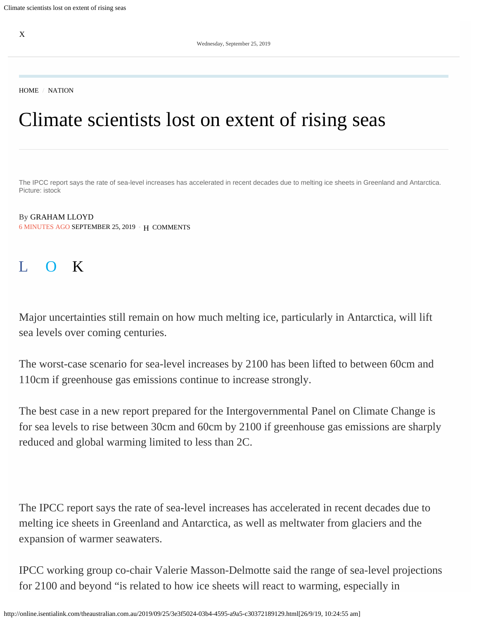[HOME](https://www.theaustralian.com.au/) / [NATION](https://www.theaustralian.com.au/nation)

# Climate scientists lost on extent of rising seas

The IPCC report says the rate of sea-level increases has accelerated in recent decades due to melting ice sheets in Greenland and Antarctica. Picture: istock

6 MINUTES AGO SEPTEMBER 25, 2019 • H [COMMENTS](#page-3-0) By [GRAHAM LLOYD](https://www.theaustralian.com.au/author/Graham+Lloyd)

## L O K

Major uncertainties still remain on how much melting ice, particularly in Antarctica, will lift sea levels over coming centuries.

The worst-case scenario for sea-level increases by 2100 has been lifted to between 60cm and 110cm if greenhouse gas emissions continue to increase strongly.

The best case in a new report prepared for the Intergovernmental Panel on Climate Change is for sea levels to rise between 30cm and 60cm by 2100 if greenhouse gas emissions are sharply reduced and global warming limited to less than 2C.

The IPCC report says the rate of sea-level increases has accelerated in recent decades due to melting ice sheets in Greenland and Antarctica, as well as meltwater from glaciers and the expansion of warmer seawaters.

IPCC working group co-chair Valerie Masson-Delmotte said the range of sea-level projections for 2100 and beyond "is related to how ice sheets will react to warming, especially in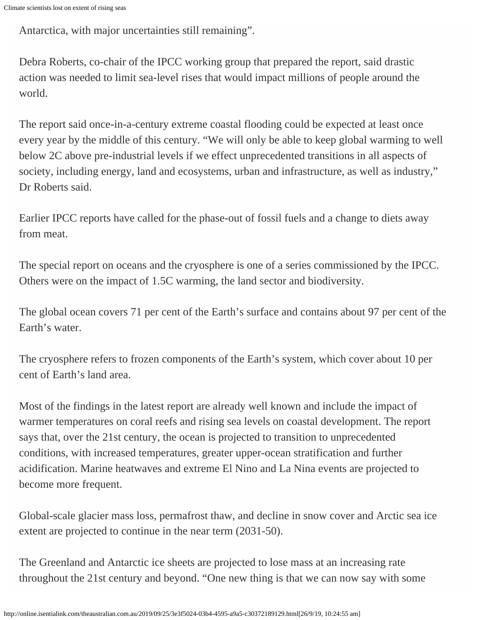Antarctica, with major uncertainties still remaining".

Debra Roberts, co-chair of the IPCC working group that prepared the report, said drastic action was needed to limit sea-level rises that would impact millions of people around the world.

The report said once-in-a-century extreme coastal flooding could be expected at least once every year by the middle of this century. "We will only be able to keep global warming to well below 2C above pre-industrial levels if we effect unprecedented transitions in all aspects of society, including energy, land and ecosystems, urban and infrastructure, as well as industry," Dr Roberts said.

Earlier IPCC reports have called for the phase-out of fossil fuels and a change to diets away from meat.

The special report on oceans and the cryosphere is one of a series commissioned by the IPCC. Others were on the impact of 1.5C warming, the land sector and biodiversity.

The global ocean covers 71 per cent of the Earth's surface and contains about 97 per cent of the Earth's water.

The cryosphere refers to frozen components of the Earth's system, which cover about 10 per cent of Earth's land area.

Most of the findings in the latest report are already well known and include the impact of warmer temperatures on coral reefs and rising sea levels on coastal development. The report says that, over the 21st century, the ocean is projected to transition to unprecedented conditions, with increased temperatures, greater upper-ocean stratification and further acidification. Marine heatwaves and extreme El Nino and La Nina events are projected to become more frequent.

Global-scale glacier mass loss, permafrost thaw, and decline in snow cover and Arctic sea ice extent are projected to continue in the near term (2031-50).

The Greenland and Antarctic ice sheets are projected to lose mass at an increasing rate throughout the 21st century and beyond. "One new thing is that we can now say with some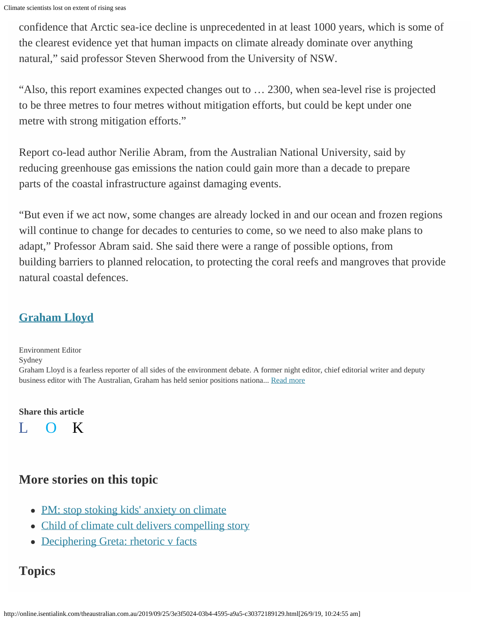Climate scientists lost on extent of rising seas

confidence that Arctic sea-ice decline is unprecedented in at least 1000 years, which is some of the clearest evidence yet that human impacts on climate already dominate over anything natural," said professor Steven Sherwood from the University of NSW.

"Also, this report examines expected changes out to … 2300, when sea-level rise is projected to be three metres to four metres without mitigation efforts, but could be kept under one metre with strong mitigation efforts."

Report co-lead author Nerilie Abram, from the Australian National University, said by reducing greenhouse gas emissions the nation could gain more than a decade to prepare parts of the coastal infrastructure against damaging events.

"But even if we act now, some changes are already locked in and our ocean and frozen regions will continue to change for decades to centuries to come, so we need to also make plans to adapt," Professor Abram said. She said there were a range of possible options, from building barriers to planned relocation, to protecting the coral reefs and mangroves that provide natural coastal defences.

## **[Graham Lloyd](https://www.theaustralian.com.au/author/Graham+Lloyd)**

Environment Editor Sydney Graham Lloyd is a fearless reporter of all sides of the environment debate. A former night editor, chief editorial writer and deputy business editor with The Australian, Graham has held senior positions nationa... [Read more](https://www.theaustralian.com.au/author/Graham+Lloyd)

#### **Share this article**



### **More stories on this topic**

- [PM: stop stoking kids' anxiety on climate](https://www.theaustralian.com.au/nation/politics/scott-morrison-calls-on-parents-to-stop-stoking-kids-climate-fears/news-story/b37d2881fe96e45e875fcfec9048776f)
- [Child of climate cult delivers compelling story](https://www.theaustralian.com.au/business/the-wall-street-journal/climate-fire-and-brimstone-damns-technologys-role-in-solutions/news-story/d9ec83346634104fdeea7133ca640b59)
- [Deciphering Greta: rhetoric v facts](https://www.theaustralian.com.au/inquirer/greta-thunberg-more-threat-than-detail-on-climate-action/news-story/ad3013648ef7cac406e5aec8926ac766)

## **Topics**

http://online.isentialink.com/theaustralian.com.au/2019/09/25/3e3f5024-03b4-4595-a9a5-c30372189129.html[26/9/19, 10:24:55 am]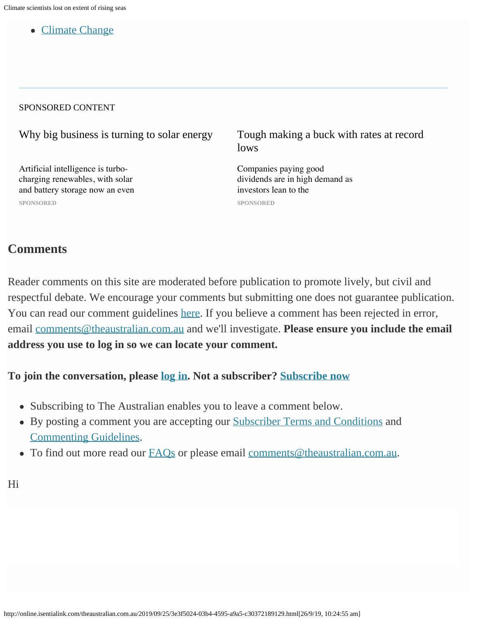[Climate Change](https://www.theaustralian.com.au/topics/climate-change)

#### SPONSORED CONTENT

[Why big business is turning to solar energy](http://trc.taboola.com/newscorpau-aud-theaustralian/log/3/click?pi=%2Fnation%2Fclimate-scientists-lost-on-extent-of-rising-seas%2Fnews-story%2F214a7095d37ef4b82244051b99ab136c&ri=6e33cc3ca3fa9a712387f757e7bffb19&sd=v2_77c16181bc3f564e77dc2ec775d3e613_a6fc1c42-84fa-4f95-87f2-905a83249c00-tuct4858a5f_1569457375_1569457375_CNawjgYQna5IGO6MzNfWLSABKAEwEDiu_QZA8IUQSIS5FlCVmgJYAGAA&ui=a6fc1c42-84fa-4f95-87f2-905a83249c00-tuct4858a5f&it=video&ii=~~V1~~-524093302647868743~~5yE06ih-LchPwLISHSP5HzM0xJsutof34-88YFPApLEZDaMJce4jup1Fuc1iPZHBRMn_0S_e1214ALcf-kGSlPoew2qHyISbADwBJUzKmw75trTmMwGkVFLx19kN5TrW2L02xQWAhiZ3iKvT3Mh0i1WE9m5el3PdvhE7xzHxiKAlaHsEvRzF7F562I4h0lU2uq180H09KMMGWKDra9vB9w&pt=text&li=rbox-t2m&sig=3bf13b94da0ec6a18acec336ef769e9c736b116bfb19&url=https%3A%2F%2Fwww.theaustralian.com.au%2Fbusiness%2Ftechnology%2Fpole-positions-why-big-companies-are-finding-new-ways-to-get-off-the-grid%2Fnews-story%2Ffab66b6d0323ffabe1829b456d7b93dc%3Futm_source%3Dtaboola%26utm_medium%3Dnative&vi=1569457374830&p=ncanative-ibm&r=87&tvi2=-2<i=deflated)

[Artificial intelligence is turbo](https://www.theaustralian.com.au/business/technology/pole-positions-why-big-companies-are-finding-new-ways-to-get-off-the-grid/news-story/fab66b6d0323ffabe1829b456d7b93dc?utm_source=taboola&utm_medium=native)[charging renewables, with solar](https://www.theaustralian.com.au/business/technology/pole-positions-why-big-companies-are-finding-new-ways-to-get-off-the-grid/news-story/fab66b6d0323ffabe1829b456d7b93dc?utm_source=taboola&utm_medium=native) [and battery storage now an even](https://www.theaustralian.com.au/business/technology/pole-positions-why-big-companies-are-finding-new-ways-to-get-off-the-grid/news-story/fab66b6d0323ffabe1829b456d7b93dc?utm_source=taboola&utm_medium=native) **[SPONSORED](https://www.theaustralian.com.au/business/technology/pole-positions-why-big-companies-are-finding-new-ways-to-get-off-the-grid/news-story/fab66b6d0323ffabe1829b456d7b93dc?utm_source=taboola&utm_medium=native)**

[Tough making a buck with rates at record](http://trc.taboola.com/newscorpau-aud-theaustralian/log/3/click?pi=%2Fnation%2Fclimate-scientists-lost-on-extent-of-rising-seas%2Fnews-story%2F214a7095d37ef4b82244051b99ab136c&ri=6e33cc3ca3fa9a712387f757e7bffb19&sd=v2_77c16181bc3f564e77dc2ec775d3e613_a6fc1c42-84fa-4f95-87f2-905a83249c00-tuct4858a5f_1569457375_1569457375_CNawjgYQna5IGO6MzNfWLSABKAEwEDiu_QZA8IUQSIS5FlCVmgJYAGAA&ui=a6fc1c42-84fa-4f95-87f2-905a83249c00-tuct4858a5f&it=video&ii=~~V1~~5130388151139922387~~yYiVFQst7SWXBdhmmIAWfgXsOBngikkLYBXUjc3jldUZDaMJce4jup1Fuc1iPZHBRMn_0S_e1214ALcf-kGSlPoew2qHyISbADwBJUzKmw6plfjEzbRyQ40Pv6Tj45iQprV9R9BPQ70vjbEkn2KG5KCxMMbkkswy8RI983v1uojOC-pr7SmUBBHbe2K3Nc_juq180H09KMMGWKDra9vB9w&pt=text&li=rbox-t2m&sig=998207b5d58f288602e900db8a7653314cedbab2980b&url=https%3A%2F%2Fwww.theaustralian.com.au%2Fsponsored%2FRpUeUgnxlB6Lpcll7RqQ%2Ftough-making-a-buck-with-rates-at-record-lows%2F%3Futm_source%3Dtaboola%26utm_medium%3Dnative&vi=1569457374830&p=ncanative-cashwerkz&r=45&tvi2=-2<i=deflated) [lows](http://trc.taboola.com/newscorpau-aud-theaustralian/log/3/click?pi=%2Fnation%2Fclimate-scientists-lost-on-extent-of-rising-seas%2Fnews-story%2F214a7095d37ef4b82244051b99ab136c&ri=6e33cc3ca3fa9a712387f757e7bffb19&sd=v2_77c16181bc3f564e77dc2ec775d3e613_a6fc1c42-84fa-4f95-87f2-905a83249c00-tuct4858a5f_1569457375_1569457375_CNawjgYQna5IGO6MzNfWLSABKAEwEDiu_QZA8IUQSIS5FlCVmgJYAGAA&ui=a6fc1c42-84fa-4f95-87f2-905a83249c00-tuct4858a5f&it=video&ii=~~V1~~5130388151139922387~~yYiVFQst7SWXBdhmmIAWfgXsOBngikkLYBXUjc3jldUZDaMJce4jup1Fuc1iPZHBRMn_0S_e1214ALcf-kGSlPoew2qHyISbADwBJUzKmw6plfjEzbRyQ40Pv6Tj45iQprV9R9BPQ70vjbEkn2KG5KCxMMbkkswy8RI983v1uojOC-pr7SmUBBHbe2K3Nc_juq180H09KMMGWKDra9vB9w&pt=text&li=rbox-t2m&sig=998207b5d58f288602e900db8a7653314cedbab2980b&url=https%3A%2F%2Fwww.theaustralian.com.au%2Fsponsored%2FRpUeUgnxlB6Lpcll7RqQ%2Ftough-making-a-buck-with-rates-at-record-lows%2F%3Futm_source%3Dtaboola%26utm_medium%3Dnative&vi=1569457374830&p=ncanative-cashwerkz&r=45&tvi2=-2<i=deflated)

[Companies paying good](https://www.theaustralian.com.au/sponsored/RpUeUgnxlB6Lpcll7RqQ/tough-making-a-buck-with-rates-at-record-lows/?utm_source=taboola&utm_medium=native) [dividends are in high demand as](https://www.theaustralian.com.au/sponsored/RpUeUgnxlB6Lpcll7RqQ/tough-making-a-buck-with-rates-at-record-lows/?utm_source=taboola&utm_medium=native) [investors lean to the](https://www.theaustralian.com.au/sponsored/RpUeUgnxlB6Lpcll7RqQ/tough-making-a-buck-with-rates-at-record-lows/?utm_source=taboola&utm_medium=native) **[SPONSORED](https://www.theaustralian.com.au/sponsored/RpUeUgnxlB6Lpcll7RqQ/tough-making-a-buck-with-rates-at-record-lows/?utm_source=taboola&utm_medium=native)**

#### <span id="page-3-0"></span>**Comments**

Reader comments on this site are moderated before publication to promote lively, but civil and respectful debate. We encourage your comments but submitting one does not guarantee publication. You can read our comment guidelines [here](https://help.theaustralian.com.au/website/i-commented-on-a-story-why-was-it-not-published/). If you believe a comment has been rejected in error, email [comments@theaustralian.com.au](mailto:comments@theaustralian.com.au) and we'll investigate. **Please ensure you include the email address you use to log in so we can locate your comment.**

#### **To join the conversation, please [log in.](https://www.theaustralian.com.au/#) Not a subscriber? [Subscribe now](https://www.theaustralian.com.au/subscribe/news/1/?sourceCode=TAWEB_SIG125A)**

- Subscribing to The Australian enables you to leave a comment below.
- By posting a comment you are accepting our [Subscriber Terms and Conditions](https://www.theaustralian.com.au/help/subscription-terms) and [Commenting Guidelines.](https://help.theaustralian.com.au/comments/the-australian-comment-guidelines/)
- To find out more read our **FAQs** or please email comments @theaustralian.com.au.

Hi